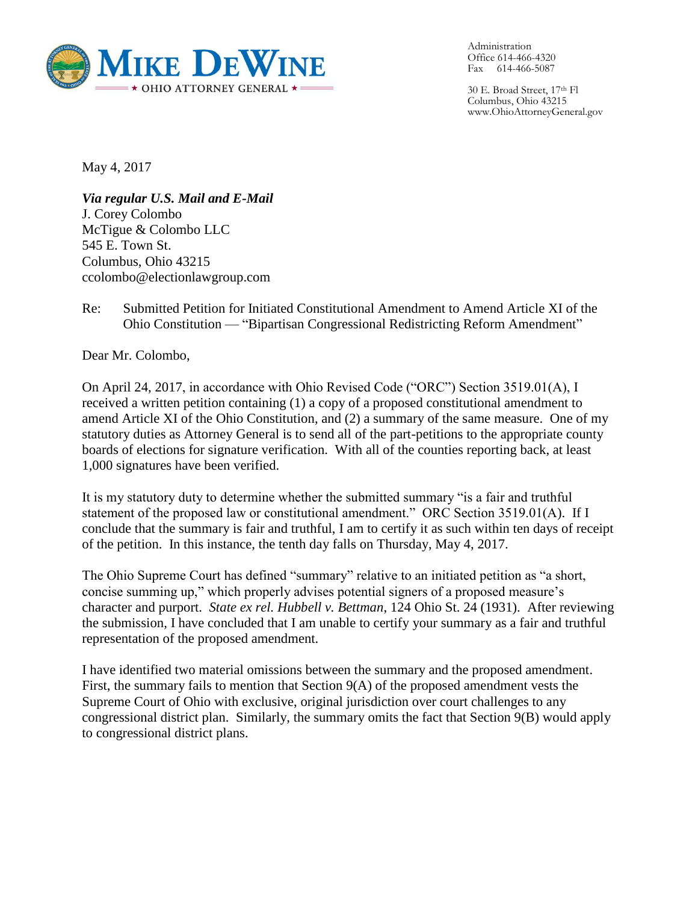

Administration Office 614-466-4320 Fax 614-466-5087

30 E. Broad Street, 17th Fl Columbus, Ohio 43215 www.OhioAttorneyGeneral.gov

May 4, 2017

*Via regular U.S. Mail and E-Mail* J. Corey Colombo McTigue & Colombo LLC 545 E. Town St. Columbus, Ohio 43215 ccolombo@electionlawgroup.com

Re: Submitted Petition for Initiated Constitutional Amendment to Amend Article XI of the Ohio Constitution — "Bipartisan Congressional Redistricting Reform Amendment"

Dear Mr. Colombo,

On April 24, 2017, in accordance with Ohio Revised Code ("ORC") Section 3519.01(A), I received a written petition containing (1) a copy of a proposed constitutional amendment to amend Article XI of the Ohio Constitution, and (2) a summary of the same measure. One of my statutory duties as Attorney General is to send all of the part-petitions to the appropriate county boards of elections for signature verification. With all of the counties reporting back, at least 1,000 signatures have been verified.

It is my statutory duty to determine whether the submitted summary "is a fair and truthful statement of the proposed law or constitutional amendment." ORC Section 3519.01(A). If I conclude that the summary is fair and truthful, I am to certify it as such within ten days of receipt of the petition. In this instance, the tenth day falls on Thursday, May 4, 2017.

The Ohio Supreme Court has defined "summary" relative to an initiated petition as "a short, concise summing up," which properly advises potential signers of a proposed measure's character and purport. *State ex rel. Hubbell v. Bettman*, 124 Ohio St. 24 (1931). After reviewing the submission, I have concluded that I am unable to certify your summary as a fair and truthful representation of the proposed amendment.

I have identified two material omissions between the summary and the proposed amendment. First, the summary fails to mention that Section 9(A) of the proposed amendment vests the Supreme Court of Ohio with exclusive, original jurisdiction over court challenges to any congressional district plan. Similarly, the summary omits the fact that Section 9(B) would apply to congressional district plans.